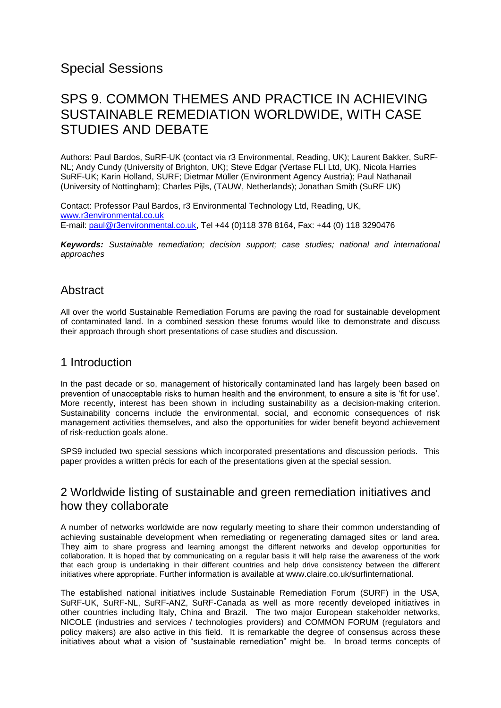# Special Sessions

# SPS 9. COMMON THEMES AND PRACTICE IN ACHIEVING SUSTAINABLE REMEDIATION WORLDWIDE, WITH CASE STUDIES AND DEBATE

Authors: Paul Bardos, SuRF-UK (contact via r3 Environmental, Reading, UK); Laurent Bakker, SuRF-NL; Andy Cundy (University of Brighton, UK); Steve Edgar (Vertase FLI Ltd, UK), Nicola Harries SuRF-UK; Karin Holland, SURF; Dietmar Müller (Environment Agency Austria); Paul Nathanail (University of Nottingham); Charles Pijls, (TAUW, Netherlands); Jonathan Smith (SuRF UK)

Contact: Professor Paul Bardos, r3 Environmental Technology Ltd, Reading, UK, [www.r3environmental.co.uk](http://www.r3environmental.co.uk/)  E-mail: [paul@r3environmental.co.uk,](mailto:paul@r3environmental.co.uk) Tel +44 (0)118 378 8164, Fax: +44 (0) 118 3290476

*Keywords: Sustainable remediation; decision support; case studies; national and international approaches* 

## Abstract

All over the world Sustainable Remediation Forums are paving the road for sustainable development of contaminated land. In a combined session these forums would like to demonstrate and discuss their approach through short presentations of case studies and discussion.

# 1 Introduction

In the past decade or so, management of historically contaminated land has largely been based on prevention of unacceptable risks to human health and the environment, to ensure a site is 'fit for use'. More recently, interest has been shown in including sustainability as a decision-making criterion. Sustainability concerns include the environmental, social, and economic consequences of risk management activities themselves, and also the opportunities for wider benefit beyond achievement of risk-reduction goals alone.

SPS9 included two special sessions which incorporated presentations and discussion periods. This paper provides a written précis for each of the presentations given at the special session.

# 2 Worldwide listing of sustainable and green remediation initiatives and how they collaborate

A number of networks worldwide are now regularly meeting to share their common understanding of achieving sustainable development when remediating or regenerating damaged sites or land area. They aim to share progress and learning amongst the different networks and develop opportunities for collaboration. It is hoped that by communicating on a regular basis it will help raise the awareness of the work that each group is undertaking in their different countries and help drive consistency between the different initiatives where appropriate. Further information is available at [www.claire.co.uk/surfinternational.](http://www.claire.co.uk/surfinternational)

The established national initiatives include Sustainable Remediation Forum (SURF) in the USA, SuRF-UK, SuRF-NL, SuRF-ANZ, SuRF-Canada as well as more recently developed initiatives in other countries including Italy, China and Brazil. The two major European stakeholder networks, NICOLE (industries and services / technologies providers) and COMMON FORUM (regulators and policy makers) are also active in this field. It is remarkable the degree of consensus across these initiatives about what a vision of "sustainable remediation" might be. In broad terms concepts of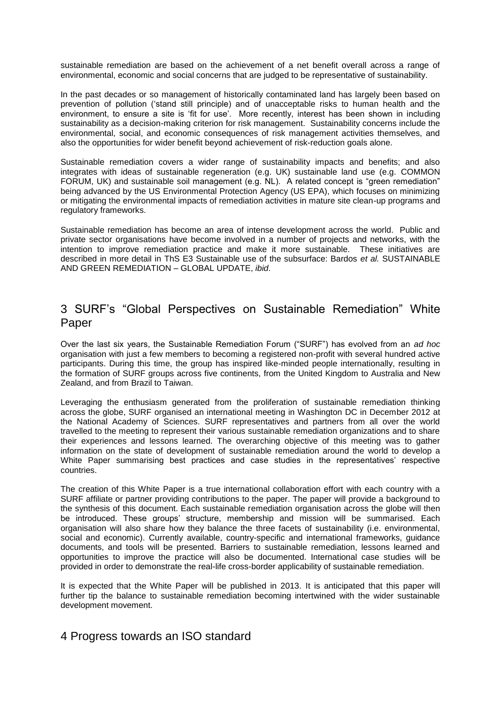sustainable remediation are based on the achievement of a net benefit overall across a range of environmental, economic and social concerns that are judged to be representative of sustainability.

In the past decades or so management of historically contaminated land has largely been based on prevention of pollution ('stand still principle) and of unacceptable risks to human health and the environment, to ensure a site is 'fit for use'. More recently, interest has been shown in including sustainability as a decision-making criterion for risk management. Sustainability concerns include the environmental, social, and economic consequences of risk management activities themselves, and also the opportunities for wider benefit beyond achievement of risk-reduction goals alone.

Sustainable remediation covers a wider range of sustainability impacts and benefits; and also integrates with ideas of sustainable regeneration (e.g. UK) sustainable land use (e.g. COMMON FORUM, UK) and sustainable soil management (e.g. NL). A related concept is "green remediation" being advanced by the US Environmental Protection Agency (US EPA), which focuses on minimizing or mitigating the environmental impacts of remediation activities in mature site clean-up programs and regulatory frameworks.

Sustainable remediation has become an area of intense development across the world. Public and private sector organisations have become involved in a number of projects and networks, with the intention to improve remediation practice and make it more sustainable. These initiatives are described in more detail in ThS E3 Sustainable use of the subsurface: Bardos *et al.* SUSTAINABLE AND GREEN REMEDIATION – GLOBAL UPDATE, *ibid*.

# 3 SURF's "Global Perspectives on Sustainable Remediation" White Paper

Over the last six years, the Sustainable Remediation Forum ("SURF") has evolved from an *ad hoc* organisation with just a few members to becoming a registered non-profit with several hundred active participants. During this time, the group has inspired like-minded people internationally, resulting in the formation of SURF groups across five continents, from the United Kingdom to Australia and New Zealand, and from Brazil to Taiwan.

Leveraging the enthusiasm generated from the proliferation of sustainable remediation thinking across the globe, SURF organised an international meeting in Washington DC in December 2012 at the National Academy of Sciences. SURF representatives and partners from all over the world travelled to the meeting to represent their various sustainable remediation organizations and to share their experiences and lessons learned. The overarching objective of this meeting was to gather information on the state of development of sustainable remediation around the world to develop a White Paper summarising best practices and case studies in the representatives' respective countries.

The creation of this White Paper is a true international collaboration effort with each country with a SURF affiliate or partner providing contributions to the paper. The paper will provide a background to the synthesis of this document. Each sustainable remediation organisation across the globe will then be introduced. These groups' structure, membership and mission will be summarised. Each organisation will also share how they balance the three facets of sustainability (i.e. environmental, social and economic). Currently available, country-specific and international frameworks, guidance documents, and tools will be presented. Barriers to sustainable remediation, lessons learned and opportunities to improve the practice will also be documented. International case studies will be provided in order to demonstrate the real-life cross-border applicability of sustainable remediation.

It is expected that the White Paper will be published in 2013. It is anticipated that this paper will further tip the balance to sustainable remediation becoming intertwined with the wider sustainable development movement.

# 4 Progress towards an ISO standard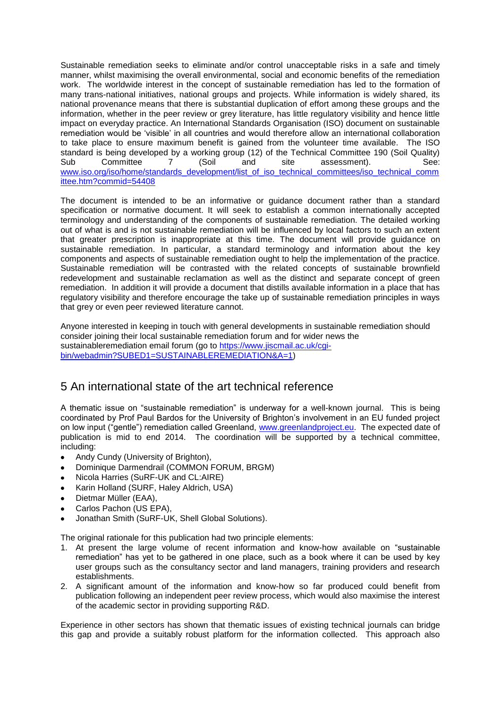Sustainable remediation seeks to eliminate and/or control unacceptable risks in a safe and timely manner, whilst maximising the overall environmental, social and economic benefits of the remediation work. The worldwide interest in the concept of sustainable remediation has led to the formation of many trans-national initiatives, national groups and projects. While information is widely shared, its national provenance means that there is substantial duplication of effort among these groups and the information, whether in the peer review or grey literature, has little regulatory visibility and hence little impact on everyday practice. An International Standards Organisation (ISO) document on sustainable remediation would be 'visible' in all countries and would therefore allow an international collaboration to take place to ensure maximum benefit is gained from the volunteer time available. The ISO standard is being developed by a working group (12) of the Technical Committee 190 (Soil Quality) Sub Committee 7 (Soil and site assessment). See: [www.iso.org/iso/home/standards\\_development/list\\_of\\_iso\\_technical\\_committees/iso\\_technical\\_comm](http://www.iso.org/iso/home/standards_development/list_of_iso_technical_committees/iso_technical_committee.htm?commid=54408) [ittee.htm?commid=54408](http://www.iso.org/iso/home/standards_development/list_of_iso_technical_committees/iso_technical_committee.htm?commid=54408)

The document is intended to be an informative or guidance document rather than a standard specification or normative document. It will seek to establish a common internationally accepted terminology and understanding of the components of sustainable remediation. The detailed working out of what is and is not sustainable remediation will be influenced by local factors to such an extent that greater prescription is inappropriate at this time. The document will provide guidance on sustainable remediation. In particular, a standard terminology and information about the key components and aspects of sustainable remediation ought to help the implementation of the practice. Sustainable remediation will be contrasted with the related concepts of sustainable brownfield redevelopment and sustainable reclamation as well as the distinct and separate concept of green remediation. In addition it will provide a document that distills available information in a place that has regulatory visibility and therefore encourage the take up of sustainable remediation principles in ways that grey or even peer reviewed literature cannot.

Anyone interested in keeping in touch with general developments in sustainable remediation should consider joining their local sustainable remediation forum and for wider news the sustainableremediation email forum (go to [https://www.jiscmail.ac.uk/cgi](https://www.jiscmail.ac.uk/cgi-bin/webadmin?SUBED1=SUSTAINABLEREMEDIATION&A=1)[bin/webadmin?SUBED1=SUSTAINABLEREMEDIATION&A=1\)](https://www.jiscmail.ac.uk/cgi-bin/webadmin?SUBED1=SUSTAINABLEREMEDIATION&A=1)

# 5 An international state of the art technical reference

A thematic issue on "sustainable remediation" is underway for a well-known journal. This is being coordinated by Prof Paul Bardos for the University of Brighton's involvement in an EU funded project on low input ("gentle") remediation called Greenland, [www.greenlandproject.eu.](http://www.greenlandproject.eu/) The expected date of publication is mid to end 2014. The coordination will be supported by a technical committee, including:

- Andy Cundy (University of Brighton),
- Dominique Darmendrail (COMMON FORUM, BRGM)
- Nicola Harries (SuRF-UK and CL:AIRE)  $\bullet$
- Karin Holland (SURF, Haley Aldrich, USA)
- Dietmar Müller (EAA),
- Carlos Pachon (US EPA),
- Jonathan Smith (SuRF-UK, Shell Global Solutions).

The original rationale for this publication had two principle elements:

- 1. At present the large volume of recent information and know-how available on "sustainable remediation" has yet to be gathered in one place, such as a book where it can be used by key user groups such as the consultancy sector and land managers, training providers and research establishments.
- 2. A significant amount of the information and know-how so far produced could benefit from publication following an independent peer review process, which would also maximise the interest of the academic sector in providing supporting R&D.

Experience in other sectors has shown that thematic issues of existing technical journals can bridge this gap and provide a suitably robust platform for the information collected. This approach also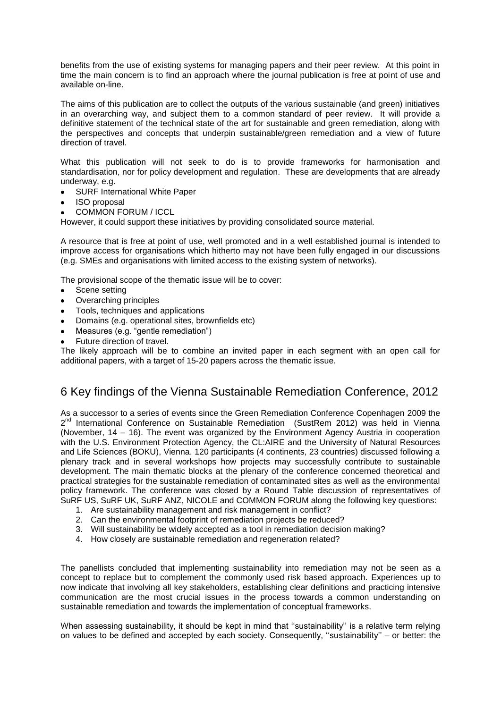benefits from the use of existing systems for managing papers and their peer review. At this point in time the main concern is to find an approach where the journal publication is free at point of use and available on-line.

The aims of this publication are to collect the outputs of the various sustainable (and green) initiatives in an overarching way, and subject them to a common standard of peer review. It will provide a definitive statement of the technical state of the art for sustainable and green remediation, along with the perspectives and concepts that underpin sustainable/green remediation and a view of future direction of travel.

What this publication will not seek to do is to provide frameworks for harmonisation and standardisation, nor for policy development and regulation. These are developments that are already underway, e.g.

- SURF International White Paper
- ISO proposal
- COMMON FORUM / ICCL

However, it could support these initiatives by providing consolidated source material.

A resource that is free at point of use, well promoted and in a well established journal is intended to improve access for organisations which hitherto may not have been fully engaged in our discussions (e.g. SMEs and organisations with limited access to the existing system of networks).

The provisional scope of the thematic issue will be to cover:

- Scene setting
- Overarching principles
- Tools, techniques and applications
- Domains (e.g. operational sites, brownfields etc)
- Measures (e.g. "gentle remediation")
- Future direction of travel.

The likely approach will be to combine an invited paper in each segment with an open call for additional papers, with a target of 15-20 papers across the thematic issue.

# 6 Key findings of the Vienna Sustainable Remediation Conference, 2012

As a successor to a series of events since the Green Remediation Conference Copenhagen 2009 the 2<sup>nd</sup> International Conference on Sustainable Remediation (SustRem 2012) was held in Vienna (November, 14 – 16). The event was organized by the Environment Agency Austria in cooperation with the U.S. Environment Protection Agency, the CL:AIRE and the University of Natural Resources and Life Sciences (BOKU), Vienna. 120 participants (4 continents, 23 countries) discussed following a plenary track and in several workshops how projects may successfully contribute to sustainable development. The main thematic blocks at the plenary of the conference concerned theoretical and practical strategies for the sustainable remediation of contaminated sites as well as the environmental policy framework. The conference was closed by a Round Table discussion of representatives of SuRF US, SuRF UK, SuRF ANZ, NICOLE and COMMON FORUM along the following key questions:

- 1. Are sustainability management and risk management in conflict?
- 2. Can the environmental footprint of remediation projects be reduced?
- 3. Will sustainability be widely accepted as a tool in remediation decision making?
- 4. How closely are sustainable remediation and regeneration related?

The panellists concluded that implementing sustainability into remediation may not be seen as a concept to replace but to complement the commonly used risk based approach. Experiences up to now indicate that involving all key stakeholders, establishing clear definitions and practicing intensive communication are the most crucial issues in the process towards a common understanding on sustainable remediation and towards the implementation of conceptual frameworks.

When assessing sustainability, it should be kept in mind that "sustainability" is a relative term relying on values to be defined and accepted by each society. Consequently, ''sustainability'' – or better: the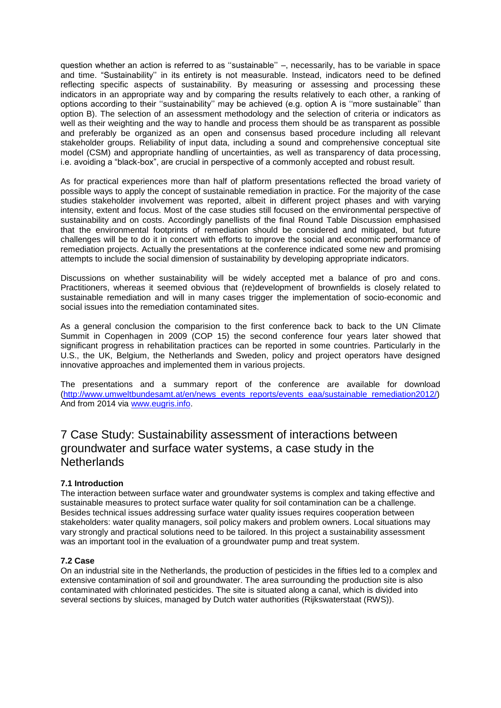question whether an action is referred to as ''sustainable'' –, necessarily, has to be variable in space and time. "Sustainability'' in its entirety is not measurable. Instead, indicators need to be defined reflecting specific aspects of sustainability. By measuring or assessing and processing these indicators in an appropriate way and by comparing the results relatively to each other, a ranking of options according to their ''sustainability'' may be achieved (e.g. option A is ''more sustainable'' than option B). The selection of an assessment methodology and the selection of criteria or indicators as well as their weighting and the way to handle and process them should be as transparent as possible and preferably be organized as an open and consensus based procedure including all relevant stakeholder groups. Reliability of input data, including a sound and comprehensive conceptual site model (CSM) and appropriate handling of uncertainties, as well as transparency of data processing, i.e. avoiding a "black-box", are crucial in perspective of a commonly accepted and robust result.

As for practical experiences more than half of platform presentations reflected the broad variety of possible ways to apply the concept of sustainable remediation in practice. For the majority of the case studies stakeholder involvement was reported, albeit in different project phases and with varying intensity, extent and focus. Most of the case studies still focused on the environmental perspective of sustainability and on costs. Accordingly panellists of the final Round Table Discussion emphasised that the environmental footprints of remediation should be considered and mitigated, but future challenges will be to do it in concert with efforts to improve the social and economic performance of remediation projects. Actually the presentations at the conference indicated some new and promising attempts to include the social dimension of sustainability by developing appropriate indicators.

Discussions on whether sustainability will be widely accepted met a balance of pro and cons. Practitioners, whereas it seemed obvious that (re)development of brownfields is closely related to sustainable remediation and will in many cases trigger the implementation of socio-economic and social issues into the remediation contaminated sites.

As a general conclusion the comparision to the first conference back to back to the UN Climate Summit in Copenhagen in 2009 (COP 15) the second conference four years later showed that significant progress in rehabilitation practices can be reported in some countries. Particularly in the U.S., the UK, Belgium, the Netherlands and Sweden, policy and project operators have designed innovative approaches and implemented them in various projects.

The presentations and a summary report of the conference are available for download [\(http://www.umweltbundesamt.at/en/news\\_events\\_reports/events\\_eaa/sustainable\\_remediation2012/\)](http://www.umweltbundesamt.at/en/news_events_reports/events_eaa/sustainable_remediation2012/) And from 2014 via [www.eugris.info.](http://www.eugris.info/)

7 Case Study: Sustainability assessment of interactions between groundwater and surface water systems, a case study in the Netherlands

### **7.1 Introduction**

The interaction between surface water and groundwater systems is complex and taking effective and sustainable measures to protect surface water quality for soil contamination can be a challenge. Besides technical issues addressing surface water quality issues requires cooperation between stakeholders: water quality managers, soil policy makers and problem owners. Local situations may vary strongly and practical solutions need to be tailored. In this project a sustainability assessment was an important tool in the evaluation of a groundwater pump and treat system.

### **7.2 Case**

On an industrial site in the Netherlands, the production of pesticides in the fifties led to a complex and extensive contamination of soil and groundwater. The area surrounding the production site is also contaminated with chlorinated pesticides. The site is situated along a canal, which is divided into several sections by sluices, managed by Dutch water authorities (Rijkswaterstaat (RWS)).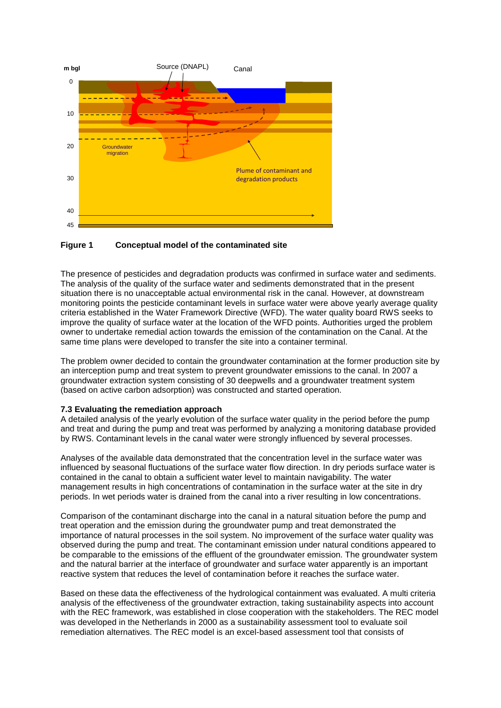

#### **Figure 1 Conceptual model of the contaminated site**

The presence of pesticides and degradation products was confirmed in surface water and sediments. The analysis of the quality of the surface water and sediments demonstrated that in the present situation there is no unacceptable actual environmental risk in the canal. However, at downstream monitoring points the pesticide contaminant levels in surface water were above yearly average quality criteria established in the Water Framework Directive (WFD). The water quality board RWS seeks to improve the quality of surface water at the location of the WFD points. Authorities urged the problem owner to undertake remedial action towards the emission of the contamination on the Canal. At the same time plans were developed to transfer the site into a container terminal.

The problem owner decided to contain the groundwater contamination at the former production site by an interception pump and treat system to prevent groundwater emissions to the canal. In 2007 a groundwater extraction system consisting of 30 deepwells and a groundwater treatment system (based on active carbon adsorption) was constructed and started operation.

#### **7.3 Evaluating the remediation approach**

A detailed analysis of the yearly evolution of the surface water quality in the period before the pump and treat and during the pump and treat was performed by analyzing a monitoring database provided by RWS. Contaminant levels in the canal water were strongly influenced by several processes.

Analyses of the available data demonstrated that the concentration level in the surface water was influenced by seasonal fluctuations of the surface water flow direction. In dry periods surface water is contained in the canal to obtain a sufficient water level to maintain navigability. The water management results in high concentrations of contamination in the surface water at the site in dry periods. In wet periods water is drained from the canal into a river resulting in low concentrations.

Comparison of the contaminant discharge into the canal in a natural situation before the pump and treat operation and the emission during the groundwater pump and treat demonstrated the importance of natural processes in the soil system. No improvement of the surface water quality was observed during the pump and treat. The contaminant emission under natural conditions appeared to be comparable to the emissions of the effluent of the groundwater emission. The groundwater system and the natural barrier at the interface of groundwater and surface water apparently is an important reactive system that reduces the level of contamination before it reaches the surface water.

Based on these data the effectiveness of the hydrological containment was evaluated. A multi criteria analysis of the effectiveness of the groundwater extraction, taking sustainability aspects into account with the REC framework, was established in close cooperation with the stakeholders. The REC model was developed in the Netherlands in 2000 as a sustainability assessment tool to evaluate soil remediation alternatives. The REC model is an excel-based assessment tool that consists of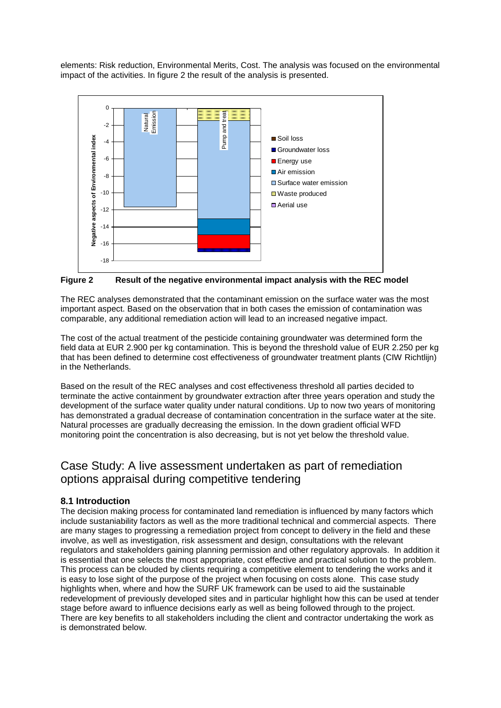elements: Risk reduction, Environmental Merits, Cost. The analysis was focused on the environmental impact of the activities. In figure 2 the result of the analysis is presented.



**Figure 2 Result of the negative environmental impact analysis with the REC model**

The REC analyses demonstrated that the contaminant emission on the surface water was the most important aspect. Based on the observation that in both cases the emission of contamination was comparable, any additional remediation action will lead to an increased negative impact.

The cost of the actual treatment of the pesticide containing groundwater was determined form the field data at EUR 2.900 per kg contamination. This is beyond the threshold value of EUR 2.250 per kg that has been defined to determine cost effectiveness of groundwater treatment plants (CIW Richtlijn) in the Netherlands.

Based on the result of the REC analyses and cost effectiveness threshold all parties decided to terminate the active containment by groundwater extraction after three years operation and study the development of the surface water quality under natural conditions. Up to now two years of monitoring has demonstrated a gradual decrease of contamination concentration in the surface water at the site. Natural processes are gradually decreasing the emission. In the down gradient official WFD monitoring point the concentration is also decreasing, but is not yet below the threshold value.

# Case Study: A live assessment undertaken as part of remediation options appraisal during competitive tendering

## **8.1 Introduction**

The decision making process for contaminated land remediation is influenced by many factors which include sustaniability factors as well as the more traditional technical and commercial aspects. There are many stages to progressing a remediation project from concept to delivery in the field and these involve, as well as investigation, risk assessment and design, consultations with the relevant regulators and stakeholders gaining planning permission and other regulatory approvals. In addition it is essential that one selects the most appropriate, cost effective and practical solution to the problem. This process can be clouded by clients requiring a competitive element to tendering the works and it is easy to lose sight of the purpose of the project when focusing on costs alone. This case study highlights when, where and how the SURF UK framework can be used to aid the sustainable redevelopment of previously developed sites and in particular highlight how this can be used at tender stage before award to influence decisions early as well as being followed through to the project. There are key benefits to all stakeholders including the client and contractor undertaking the work as is demonstrated below.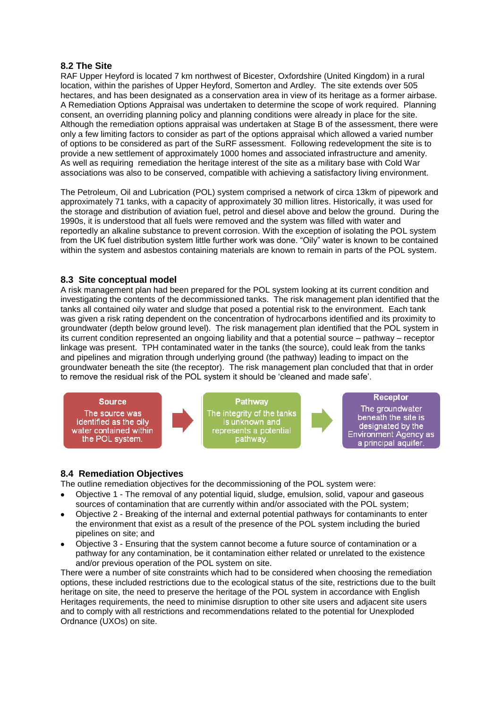### **8.2 The Site**

RAF Upper Heyford is located 7 km northwest of Bicester, Oxfordshire (United Kingdom) in a rural location, within the parishes of Upper Heyford, Somerton and Ardley. The site extends over 505 hectares, and has been designated as a conservation area in view of its heritage as a former airbase. A Remediation Options Appraisal was undertaken to determine the scope of work required. Planning consent, an overriding planning policy and planning conditions were already in place for the site. Although the remediation options appraisal was undertaken at Stage B of the assessment, there were only a few limiting factors to consider as part of the options appraisal which allowed a varied number of options to be considered as part of the SuRF assessment. Following redevelopment the site is to provide a new settlement of approximately 1000 homes and associated infrastructure and amenity. As well as requiring remediation the heritage interest of the site as a military base with Cold War associations was also to be conserved, compatible with achieving a satisfactory living environment.

The Petroleum, Oil and Lubrication (POL) system comprised a network of circa 13km of pipework and approximately 71 tanks, with a capacity of approximately 30 million litres. Historically, it was used for the storage and distribution of aviation fuel, petrol and diesel above and below the ground. During the 1990s, it is understood that all fuels were removed and the system was filled with water and reportedly an alkaline substance to prevent corrosion. With the exception of isolating the POL system from the UK fuel distribution system little further work was done. "Oily" water is known to be contained within the system and asbestos containing materials are known to remain in parts of the POL system.

### **8.3 Site conceptual model**

A risk management plan had been prepared for the POL system looking at its current condition and investigating the contents of the decommissioned tanks. The risk management plan identified that the tanks all contained oily water and sludge that posed a potential risk to the environment. Each tank was given a risk rating dependent on the concentration of hydrocarbons identified and its proximity to groundwater (depth below ground level). The risk management plan identified that the POL system in its current condition represented an ongoing liability and that a potential source – pathway – receptor linkage was present. TPH contaminated water in the tanks (the source), could leak from the tanks and pipelines and migration through underlying ground (the pathway) leading to impact on the groundwater beneath the site (the receptor). The risk management plan concluded that that in order to remove the residual risk of the POL system it should be 'cleaned and made safe'.



## **8.4 Remediation Objectives**

The outline remediation objectives for the decommissioning of the POL system were:

- Objective 1 The removal of any potential liquid, sludge, emulsion, solid, vapour and gaseous sources of contamination that are currently within and/or associated with the POL system;
- Objective 2 Breaking of the internal and external potential pathways for contaminants to enter the environment that exist as a result of the presence of the POL system including the buried pipelines on site; and
- Objective 3 Ensuring that the system cannot become a future source of contamination or a pathway for any contamination, be it contamination either related or unrelated to the existence and/or previous operation of the POL system on site.

There were a number of site constraints which had to be considered when choosing the remediation options, these included restrictions due to the ecological status of the site, restrictions due to the built heritage on site, the need to preserve the heritage of the POL system in accordance with English Heritages requirements, the need to minimise disruption to other site users and adjacent site users and to comply with all restrictions and recommendations related to the potential for Unexploded Ordnance (UXOs) on site.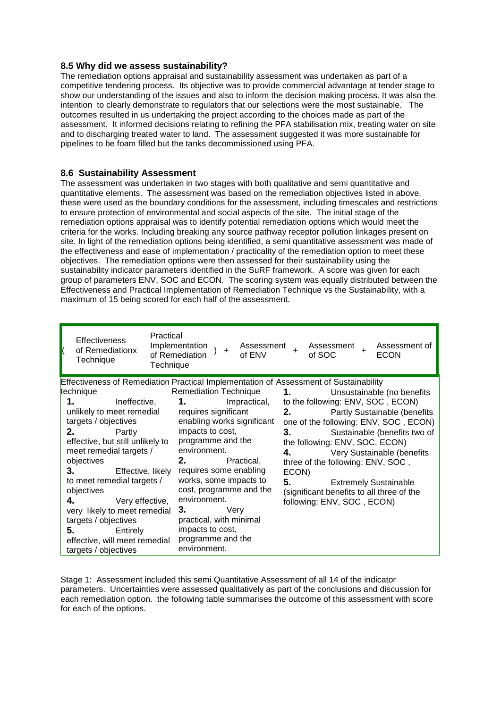### **8.5 Why did we assess sustainability?**

The remediation options appraisal and sustainability assessment was undertaken as part of a competitive tendering process. Its objective was to provide commercial advantage at tender stage to show our understanding of the issues and also to inform the decision making process. It was also the intention to clearly demonstrate to regulators that our selections were the most sustainable. The outcomes resulted in us undertaking the project according to the choices made as part of the assessment. It informed decisions relating to refining the PFA stabilisation mix, treating water on site and to discharging treated water to land. The assessment suggested it was more sustainable for pipelines to be foam filled but the tanks decommissioned using PFA.

### **8.6 Sustainability Assessment**

The assessment was undertaken in two stages with both qualitative and semi quantitative and quantitative elements. The assessment was based on the remediation objectives listed in above, these were used as the boundary conditions for the assessment, including timescales and restrictions to ensure protection of environmental and social aspects of the site. The initial stage of the remediation options appraisal was to identify potential remediation options which would meet the criteria for the works. Including breaking any source pathway receptor pollution linkages present on site. In light of the remediation options being identified, a semi quantitative assessment was made of the effectiveness and ease of implementation / practicality of the remediation option to meet these objectives. The remediation options were then assessed for their sustainability using the sustainability indicator parameters identified in the SuRF framework. A score was given for each group of parameters ENV, SOC and ECON. The scoring system was equally distributed between the Effectiveness and Practical Implementation of Remediation Technique vs the Sustainability, with a maximum of 15 being scored for each half of the assessment.

| Practical                                                                                                                                                                                                                                                                                                                                                                                                                                                                                                                | Implementation                                                                                                                                                                                                                                                                                                                                                                                           | Assessment of                                                                                                                                                                                                                                                                                                                                                                                                             |
|--------------------------------------------------------------------------------------------------------------------------------------------------------------------------------------------------------------------------------------------------------------------------------------------------------------------------------------------------------------------------------------------------------------------------------------------------------------------------------------------------------------------------|----------------------------------------------------------------------------------------------------------------------------------------------------------------------------------------------------------------------------------------------------------------------------------------------------------------------------------------------------------------------------------------------------------|---------------------------------------------------------------------------------------------------------------------------------------------------------------------------------------------------------------------------------------------------------------------------------------------------------------------------------------------------------------------------------------------------------------------------|
| <b>Effectiveness</b>                                                                                                                                                                                                                                                                                                                                                                                                                                                                                                     | Assessment +                                                                                                                                                                                                                                                                                                                                                                                             | Assessment                                                                                                                                                                                                                                                                                                                                                                                                                |
| of Remediationx                                                                                                                                                                                                                                                                                                                                                                                                                                                                                                          | $\ddot{}$                                                                                                                                                                                                                                                                                                                                                                                                | $\overline{+}$                                                                                                                                                                                                                                                                                                                                                                                                            |
| Technique                                                                                                                                                                                                                                                                                                                                                                                                                                                                                                                | of Remediation                                                                                                                                                                                                                                                                                                                                                                                           | of SOC                                                                                                                                                                                                                                                                                                                                                                                                                    |
| Technique                                                                                                                                                                                                                                                                                                                                                                                                                                                                                                                | of ENV                                                                                                                                                                                                                                                                                                                                                                                                   | <b>ECON</b>                                                                                                                                                                                                                                                                                                                                                                                                               |
| <b>Effectiveness of Remediation Practical Implementation of Assessment of Sustainability</b><br>technique<br>1.<br>Ineffective,<br>unlikely to meet remedial<br>targets / objectives<br>2.<br>Partly<br>effective, but still unlikely to<br>meet remedial targets /<br>objectives<br><b>3.</b> Effective, likely<br>to meet remedial targets /<br>objectives<br>4.<br>Very effective,<br>very likely to meet remedial<br>targets / objectives<br>5.<br>Entirely<br>effective, will meet remedial<br>targets / objectives | <b>Remediation Technique</b><br>$1.$ $\qquad \qquad$<br>Impractical,<br>requires significant<br>enabling works significant<br>impacts to cost,<br>programme and the<br>environment.<br>2.<br>Practical,<br>requires some enabling<br>works, some impacts to<br>cost, programme and the<br>environment.<br>3.<br>Very<br>practical, with minimal<br>impacts to cost,<br>programme and the<br>environment. | Unsustainable (no benefits<br>to the following: ENV, SOC, ECON)<br>2.<br>Partly Sustainable (benefits<br>one of the following: ENV, SOC, ECON)<br>3.<br>Sustainable (benefits two of<br>the following: ENV, SOC, ECON)<br>4.<br>Very Sustainable (benefits<br>three of the following: ENV, SOC,<br>ECON)<br>5.<br><b>Extremely Sustainable</b><br>(significant benefits to all three of the<br>following: ENV, SOC, ECON) |

Stage 1: Assessment included this semi Quantitative Assessment of all 14 of the indicator parameters. Uncertainties were assessed qualitatively as part of the conclusions and discussion for each remediation option. the following table summarises the outcome of this assessment with score for each of the options.